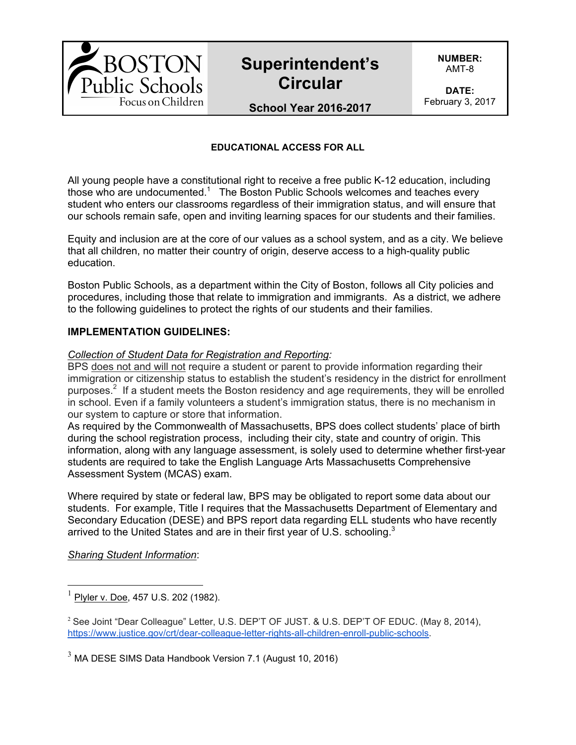# **Superintendent's Circular**

**NUMBER:** AMT-8

**DATE:** February 3, 2017

## **School Year 2016-2017**

### **EDUCATIONAL ACCESS FOR ALL**

All young people have a constitutional right to receive a free public K-12 education, including those who are undocumented.<sup>1</sup> The Boston Public Schools welcomes and teaches every student who enters our classrooms regardless of their immigration status, and will ensure that our schools remain safe, open and inviting learning spaces for our students and their families.

Equity and inclusion are at the core of our values as a school system, and as a city. We believe that all children, no matter their country of origin, deserve access to a high-quality public education.

Boston Public Schools, as a department within the City of Boston, follows all City policies and procedures, including those that relate to immigration and immigrants. As a district, we adhere to the following guidelines to protect the rights of our students and their families.

#### **IMPLEMENTATION GUIDELINES:**

#### *Collection of Student Data for Registration and Reporting:*

BPS does not and will not require a student or parent to provide information regarding their immigration or citizenship status to establish the student's residency in the district for enrollment purposes.<sup>2</sup> If a student meets the Boston residency and age requirements, they will be enrolled in school. Even if a family volunteers a student's immigration status, there is no mechanism in our system to capture or store that information.

As required by the Commonwealth of Massachusetts, BPS does collect students' place of birth during the school registration process, including their city, state and country of origin. This information, along with any language assessment, is solely used to determine whether first-year students are required to take the English Language Arts Massachusetts Comprehensive Assessment System (MCAS) exam.

Where required by state or federal law, BPS may be obligated to report some data about our students. For example, Title I requires that the Massachusetts Department of Elementary and Secondary Education (DESE) and BPS report data regarding ELL students who have recently arrived to the United States and are in their first year of U.S. schooling.<sup>3</sup>

*Sharing Student Information*:

Plyler v. Doe, 457 U.S. 202 (1982).

<sup>&</sup>lt;sup>2</sup> See Joint "Dear Colleague" Letter, U.S. DEP'T OF JUST. & U.S. DEP'T OF EDUC. (May 8, 2014), https://www.justice.gov/crt/dear-colleague-letter-rights-all-children-enroll-public-schools.

 $3$  MA DESE SIMS Data Handbook Version 7.1 (August 10, 2016)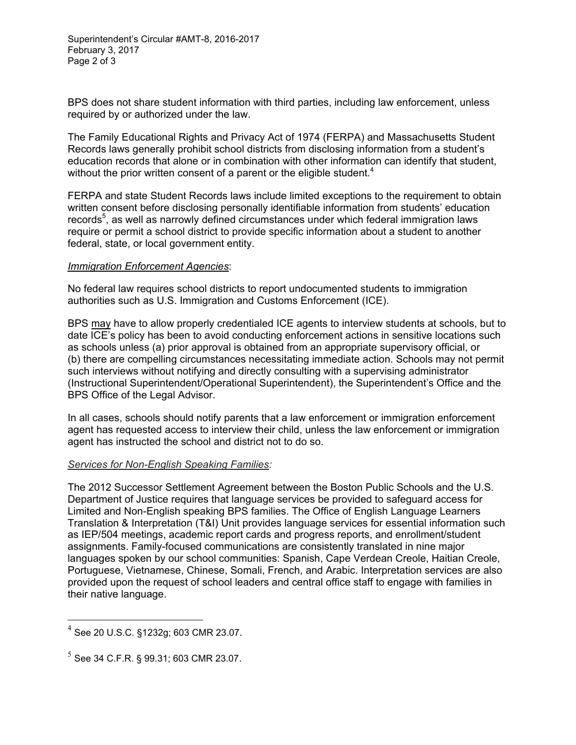Superintendent's Circular #AMT-8, 2016-2017 February 3, 2017 Page 2 of 3

BPS does not share student information with third parties, including law enforcement, unless required by or authorized under the law.

The Family Educational Rights and Privacy Act of 1974 (FERPA) and Massachusetts Student Records laws generally prohibit school districts from disclosing information from a student's education records that alone or in combination with other information can identify that student, without the prior written consent of a parent or the eligible student.<sup>4</sup>

FERPA and state Student Records laws include limited exceptions to the requirement to obtain written consent before disclosing personally identifiable information from students' education records<sup>5</sup>, as well as narrowly defined circumstances under which federal immigration laws require or permit a school district to provide specific information about a student to another federal, state, or local government entity.

#### *Immigration Enforcement Agencies*:

No federal law requires school districts to report undocumented students to immigration authorities such as U.S. Immigration and Customs Enforcement (ICE).

BPS may have to allow properly credentialed ICE agents to interview students at schools, but to date ICE's policy has been to avoid conducting enforcement actions in sensitive locations such as schools unless (a) prior approval is obtained from an appropriate supervisory official, or (b) there are compelling circumstances necessitating immediate action. Schools may not permit such interviews without notifying and directly consulting with a supervising administrator (Instructional Superintendent/Operational Superintendent), the Superintendent's Office and the BPS Office of the Legal Advisor.

In all cases, schools should notify parents that a law enforcement or immigration enforcement agent has requested access to interview their child, unless the law enforcement or immigration agent has instructed the school and district not to do so.

#### *Services for Non-English Speaking Families:*

The 2012 Successor Settlement Agreement between the Boston Public Schools and the U.S. Department of Justice requires that language services be provided to safeguard access for Limited and Non-English speaking BPS families. The Office of English Language Learners Translation & Interpretation (T&I) Unit provides language services for essential information such as IEP/504 meetings, academic report cards and progress reports, and enrollment/student assignments. Family-focused communications are consistently translated in nine major languages spoken by our school communities: Spanish, Cape Verdean Creole, Haitian Creole, Portuguese, Vietnamese, Chinese, Somali, French, and Arabic. Interpretation services are also provided upon the request of school leaders and central office staff to engage with families in their native language.

 <sup>4</sup> See 20 U.S.C. §1232g; 603 CMR 23.07.

 $^5$  See 34 C.F.R. § 99.31: 603 CMR 23.07.